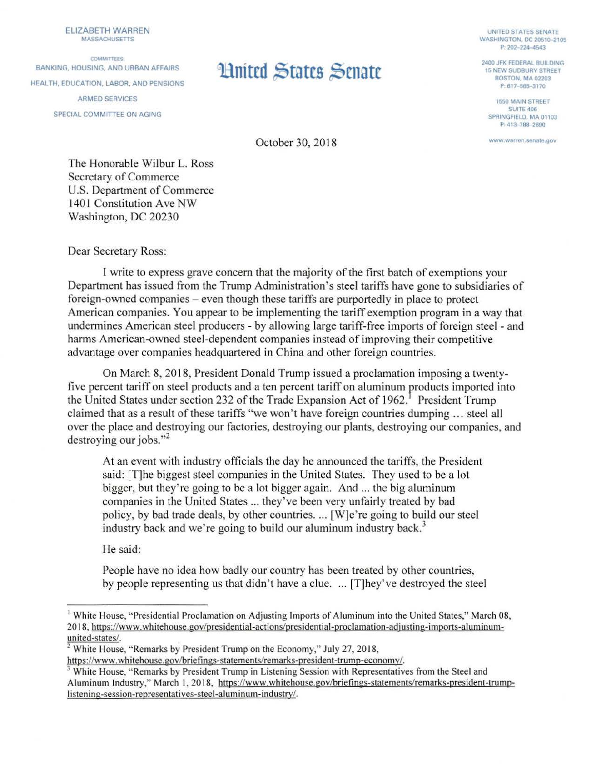ELIZABETH WARREN MASSACHUSETTS

COMMITTEES. BANKING, HOUSING, AND URBAN AFFAIRS HEALTH, EDUCATION, LABOR, AND PENSIONS ARMED SERVICES SPECIAL COMMITTEE ON AGING

## **Linited States Senate** 2400 JFK FEDERAL BUILDING

UNITED STATES SENATE WASHINGTON, DC ?0510-2105 P: 202-224-4543

15 NEW SUDBURY STREET **BOSTON, MA 02203** P: 617-565-3170

> 1550 MAIN STREET SUITE 406 SPRINGFIELD, MA 01103 P: 413-788-2690

www warren senaie.gov

October 30, 2018

The Honorable Wilbur L. Ross Secretary of Commerce U.S. Department of Commerce 1401 Constitution Ave NW Washington, DC 20230

Dear Secretary Ross:

I write to express grave concern that the majority of the first batch of exemptions your Department has issued from the Trump Administration's steel tariffs have gone to subsidiaries of foreign-owned companies – even though these tariffs are purportedly in place to protect American companies. You appear to be implementing the tariff exemption program in a way that undermines American steel producers - by allowing large tariff-free imports of foreign steel - and harms American-owned steel-dependent companies instead of improving their competitive advantage over companies headquartered in China and other foreign countries.

On March 8, 2018, President Donald Trump issued a proclamation imposing a twentyfive percent tariff on steel products and a ten percent tariff on aluminum products imported into the United States under section 232 of the Trade Expansion Act of 1962.<sup>1</sup> President Trump claimed that as a result of these tariffs "we won't have foreign countries dumping ... steel all over the place and destroying our factories, destroying our plants, destroying our companies, and destroying our jobs."<sup>2</sup>

At an event with industry officials the day he announced the tariffs, the President said: (T]he biggest steel companies in the United States. They used to be a lot bigger, but they're going to be a lot bigger again. And ... the big aluminum companies in the United States ... they've been very unfairly treated by bad policy, by bad trade deals, by other countries .... [W]e're going to build our steel industry back and we're going to build our aluminum industry back.<sup>3</sup>

He said:

People have no idea how badly our country has been treated by other countries, by people representing us that didn't have a clue .... [T]hey've destroyed the steel

<sup>&</sup>lt;sup>1</sup> White House, "Presidential Proclamation on Adjusting Imports of Aluminum into the United States," March 08, 2018, https://www. wh itehouse. gov/presidential-actions/presidential-proclamation-adjusting-imports-aluminum- $\frac{1}{2}$  White House, "Remarks by President Trump on the Economy," July 27, 2018,

https://www.whitehouse.gov/briefings-statements/remarks-president-trump-economy/.<br><sup>3</sup> White House, "Remarks by President Trump in Listening Session with Representatives from the Steel and Aluminum Industry," March I, 2018, https://www.whitehouse.gov/briefings-statements/remarks-president-trumplistening-session-representatives-steel-aluminum-industry/.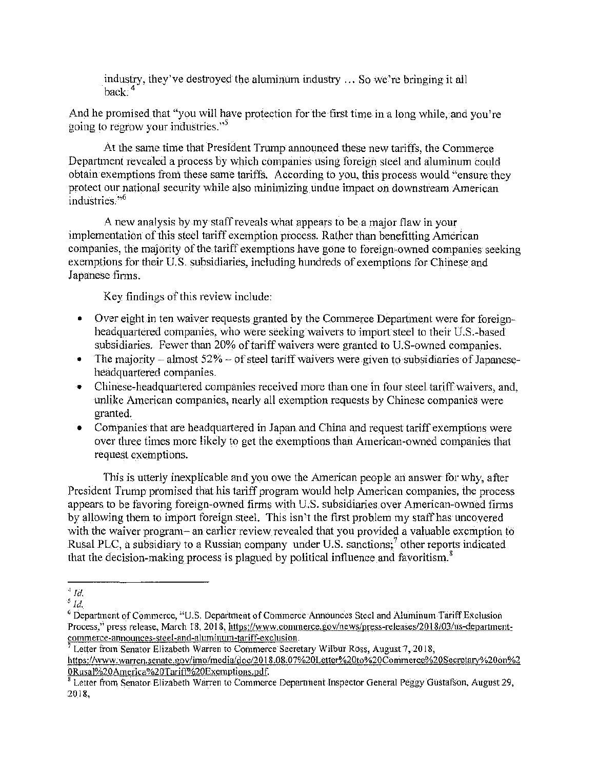industry, they've destroyed the aluminum industry  $\ldots$  So we're bringing it all  $\mathsf{back}^2$ 

And he promised that "you will have protection for the first time in a long while, and you're going to regrow your industries."<sup>5</sup>

At the same time that President Trump announced these new tariffs, the Commerce Department revealed a process by which companies using foreign steel and aluminum could obtain exemptions from these same tariffs. According to you, this process would "ensure they protect our national security while also minimizing undue impact on downstream American industries."<sup>6</sup>

A new analysis by my staff reveals \Vhat appears to be a major flaw in your implementation of this steel tariff exemption process. Rather than benefitting American companies, the majority of the tariff exemptions have gone to foreign-owned companies seeking exemptions for their U.S. subsidiaries, including hundreds of exemptions for Chinese and Japanese tinns.

Key findings of this review include:

- Over eight in ten waiver requests granted by the Commerce Department were for foreignheadquartered companies, who were seeking waivers to import steel to their U.S.-based subsidiaries. Fewer than 20% of tariff waivers were granted to U.S-owned companies.
- The majority almost  $52\%$  of steel tariff waivers were given to subsidiaries of Japaneseheadquartered companies.
- Chinese-headquartered companies received more than one in four steel tariff waivers, and, unlike American companies, nearly all exemption requests by Chinese companies were granted.
- Companies that are headquartered in Japan and China and request tariff exemptions were over three times more likely to get the exemptions than American-owned companies that request exemptions.

This is utterly inexplicable and you owe the American people an answer for why, after President Trump promised that his tariff program would help American companies, the process appears to be favoring foreign-owned firms with U.S. subsidiaries over American-owned firms by allowing them to import foreign steel. This isn't the first problem my staff has uncovered with the waiver program- an earlier review revealed that you provided a valuable exemption to Rusal PLC, a subsidiary to a Russian company under U.S. sanctions; $<sup>7</sup>$  other reports indicated</sup> that the decision-making process is plagued by political influence and favoritism.<sup>8</sup>

<sup>7</sup> Letter from Senator Elizabeth Warren to Commerce Secretary Wilbur Ross, August 7, 2018, https://www.warren.senate.gov/imo/media/doc/2018.08.07%20Letter%20to%20Commerce%20Secretary%20on%2 0Rusal%20America%20Tariff%20Exemptions.pdf.

 $^4$  *Id.* 

*<sup>5</sup> Id.* 

<sup>6</sup> Departtnent of Commerce, "U.S. Department of Commerce Announces Steel and Aluminutn Tariff Exclusion Process," press release, March 18, 2018, https://www.commerce.gov/news/press-releases/2018/03/us-departmentcommerce-announces-steel-and-aluminum-tariff-exclusion.

<sup>&</sup>lt;sup>8</sup> Letter from Senator Elizabeth Warren to Commerce Department Inspector General Peggy Gustafson, August 29, 2018,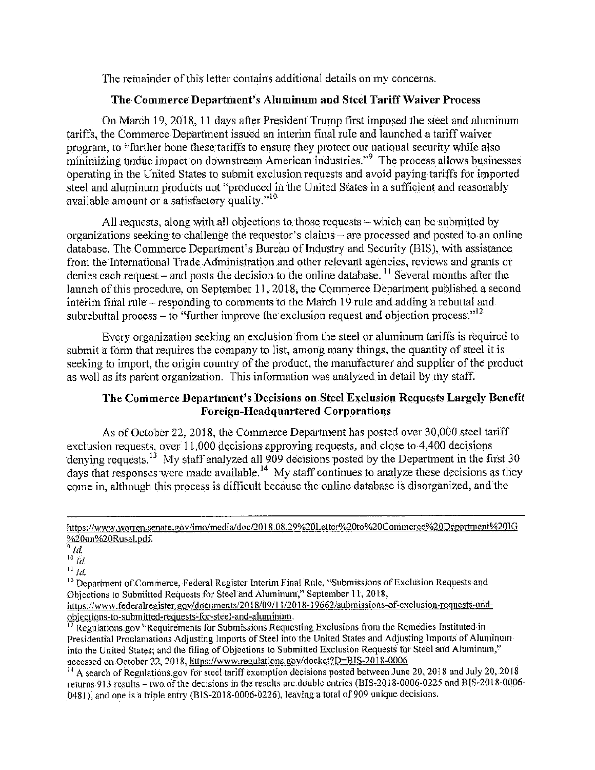The remainder of this letter contains additional details on my concerns.

## **The Commerce Department's Aluminum and Steel Tariff Waiver Process**

On March 19, 2018, 11 days after President Trump first imposed the steel and aluminum tariffs, the Commerce Department issued an interim final rule and launched a tariff waiver program, to "further hone these tariffs to ensure they protect our national security while also minimizing undue impact on downstream American industries."<sup>9</sup> The process allows businesses operating in the United States to submit exclusion requests and avoid paying tariffs for imported steel and aluminum products not "produced in the United States in a sufficient and reasonably available amount or a satisfactory quality."<sup>10</sup>

All requests, along with all objections to those requests  $-$  which can be submitted by organizations seeking to challenge the requestor's claims- are processed and posted to an online database. The Commerce Department's Bureau of Industry and Security (BIS), with assistance from the International Trade Administration and other relevant agencies, reviews and grants or denies each request – and posts the decision to the online database.  $^{11}$  Several months after the launch of this procedure, on September 11, 2018, the Commerce Department published a second interim final rule – responding to comments to the March 19 rule and adding a rebuttal and subrebuttal process – to "further improve the exclusion request and objection process."  $^{12}$ 

Every organization seeking an exclusion from the steel or aluminum tariffs is required to submit a form that requires the company to list, among many things, the quantity of steel it is seeking to import, the origin country of the product, the manufacturer and supplier of the product as well as its parent organization. This information was analyzed in detail by my staff.

## **1'he Commerce Department's Decisions on Steel Exclusion Requests Largely Benefit Foreign-Headquartered Corporations**

As of October 22, 2018, the Commerce Department has posted over 30,000 steel tariff exclusion requests, over  $11,000$  decisions approving requests, and close to  $4,400$  decisions denying requests.<sup>13</sup> My staff analyzed all 909 decisions posted by the Department in the first 30 days that responses were made available.<sup>14</sup> My staff continues to analyze these decisions as they come in, although this process is difficult because the online database is disorganized, and the

 $^{12}$  Department of Commerce. Federal Register Interim Final Rule, "Submissions of Exclusion Requests and Objections to Submitted Requests for Steel and Aluminum," September 11, 2018,

https://www.federalregister.gov/documents/2018/09/11/2018-19662/submissions-of-exclusion-requests-andobjcctions-to-submitted-requests-for-steel-and-aluininum.

<sup>13</sup> Regulations.gov "Requirements for Submissions Requesting Exclusions from the Remedies Instituted in Presidential Proclamations Adjusting Imports of Steel into the United States and Adjusting Imports of Aluminum into the United States; and the tiling of Objections to Submitted Exclusion Requests for Steel and Aluminum," accessed on October 22, 20 l 8, https://www.regulations.gov/docket?D=BIS-2018-0006

<sup>14</sup> A search of Regulations.gov for steel tariff exemption decisions posted between June 20, 2018 and July 20, 2018 returns 913 results - two of the decisions in the results are double entries (BIS-2018-0006-0225 and BIS-2018-0006-0481), and one is a triple entry (BIS-2018-0006-0226), leaving a total of 909 unique decisions.

https://www.warren.senate.gov/imo/media/doc/2018.08.29%20Letter%20to%20Commerce%20Department%201G %20on%20Rusal.pdf.

<sup>9</sup>*Id.* 

<sup>10</sup> *Id.* 

 $^11d.$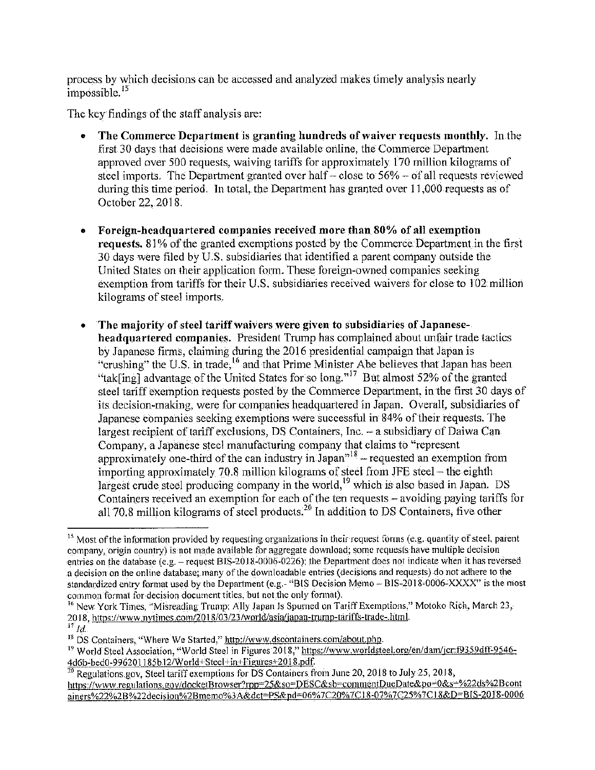process by which decisions can be accessed and analyzed makes timely analysis nearly  $impossible.<sup>15</sup>$ 

The key findings of the staff analysis are:

- The Commerce Department is granting hundreds of waiver requests monthly. In the first 30 days that decisions were made available online, the Commerce Department approved over 500 requests, waiving tariffs for approximately 170 million kilograms of steel imports. The Department granted over half  $-$  close to 56%  $-$  of all requests reviewed during this time period. In total, the Department has granted over  $11,000$  requests as of October 22, 2018.
- Foreign-headquartered companies received more than 80% of all exemption requests. 81% of the granted exemptions posted by the Commerce Department in the first 30 days were filed by U.S. subsidiaries that identified a parent company outside the United States on their application form. These foreign-owned companies seeking exemption from tariffs for their U.S. subsidiaries received waivers for close to 102 million kilograms of steel imports.
- The majority of steel tariff\vaivers \Vere given to subsidiaries of Japaneseheadquartered companies. President Trump has complained about unfair trade tactics by Japanese firms, claiming during the 2016 presidential campaign that Japan is "crushing" the U.S. in trade, <sup>16</sup> and that Prime Minister Abe believes that Japan has been "tak[ing] advantage of the United States for so long."<sup>17</sup> But almost 52% of the granted steel tariff exemption requests posted by the Commerce Department, in the first 30 days of its decision-making, were for companies headquartered in Japan. Overall, subsidiaries of Japanese companies seeking exemptions were successful in 84% of their requests. The largest recipient of tariff exclusions, DS Containers, Inc. - a subsidiary of Daiwa Can Company, a Japanese steel manufacturing company that claims to "represent approximately one-third of the can industry in  $\hat{J}$ apan<sup> $n^{18}$ </sup> – requested an exemption from importing approximately 70.8 million kilograms of steel from JFE steel - the eighth largest crude steel producing company in the world,  $19$  which is also based in Japan. DS Containers received an exemption for each of the ten requests - avoiding paying tariffs for all 70.8 million kilograms of steel products.<sup>20</sup> In addition to DS Containers, five other

<sup>&</sup>lt;sup>15</sup> Most of the information provided by requesting organizations in their request forms (e.g. quantity of steel, parent company, origin country) is not made available for aggregate download; some requests have multiple decision entries on the database (e.g. - request BIS-2018-0006-0226); the Department does not indicate when it has reversed a decision on the online database; 1nany ofthe downloadable entries (decisions and requests) do not adhere to the standardized entry format used by the Department (e.g.- "BIS Decision Memo - BIS-2018-0006-XXXX" is the most common format for decision document titles, but not the only format).

<sup>&</sup>lt;sup>16</sup> New York Times, "Misreading Trump: Ally Japan Is Spurned on Tariff Exemptions," Motoko Rich, March 23, 2018, https://www.nytimes.com/2018/03/23/world/asia/japan-trump-tariffs-trade-.html.

 $\,^{47}$   $ld.$ 

 $18$  DS Containers, "Where We Started," http://www.dscontainers.com/about.php.

<sup>&</sup>lt;sup>19</sup> World Steel Association, "World Steel in Figures 2018," https://www.worldsteel.org/en/dam/jcr:f9359dff-9546-<br>4d6b-bed0-996201185b12/World+Steel+in+Figures+2018.pdf.

 $\frac{20}{20}$  Regulations.gov, Steel tariff exemptions for DS Containers from June 20, 2018 to July 25, 2018, https://www.regulations.gov/docketBrowser?rpp=25&so=DESC&sb=commentDueDate&po=0&s=%22ds%2Bcont ainers%22%2B%22decision%2Bmemo%3A&dct=PS&pd=06%7C20%7C18-07%7C25%7C18&D=BIS-2018-0006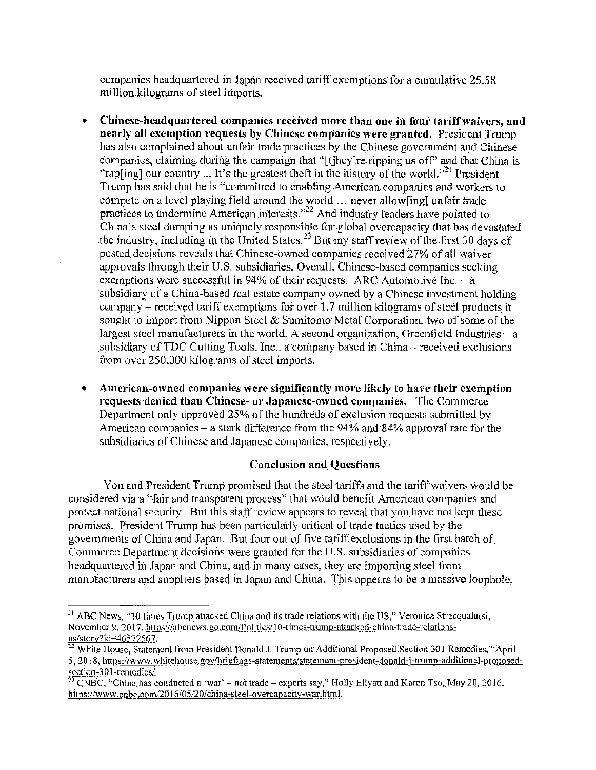companies headquartered in Japan received tariff exemptions for a cumulative 25.58 million kilograms of steel imports.

- Chinese-headquartered companies received more than one in four tariff waivers, and **nearly all exemption requests by Chinese companies \Vere granted.** President Trump has also complained about unfair trade practices by the Chinese government and Chinese companies, claiming during the campaign that "[t]hey're ripping us off" and that China is "rap[ing] our country ... It's the greatest theft in the history of the world.<sup> $221$ </sup> President Trump has said that he is "committed to enabling American companies and workers to compete on a level playing field around the world ... never allow[ing] unfair trade practices to undermine American interests."<sup>22</sup> And industry leaders have pointed to China's steel dumping as uniquely responsible for global overcapacity that has devastated the industry, including in the United States.<sup>23</sup> But my staff review of the first 30 days of posted decisions reveals that Chinese-owned companies received 27% of al! waiver approvals through their U.S. subsidiaries. Overall, Chinese-based companies seeking exemptions were successful in 94% of their requests. ARC Automotive Inc.  $-a$ subsidiary of a China-based real estate company owned by a Chinese investment holding company – received tariff exemptions for over 1.7 million kilograms of steel products it sought to import from Nippon Steel  $&$  Sumitomo Metal Corporation, two of some of the largest steel manufacturers in the world. A second organization, Greenfield Industries  $-a$ subsidiary of TDC Cutting Tools, Inc., a company based in China - received exclusions from over 250,000 kilograms of steel imports.
- **American-o,vncd companies were significantly more likely to have their exemption requests denied than Chinese- or Japanese-owned companies.** The Commerce Department only approved 25% of the hundreds of exclusion requests submitted by American companies  $-$  a stark difference from the 94% and 84% approval rate for the subsidiaries of Chinese and Japanese companies, respectively.

## **Conclusion and Questions**

You and President Trump promised that the steel tariffs and the tariff waivers would be considered via a "fair and transparent process" that would benefit American companies and protect national security. But this staff review appears to reveal that you have not kept these promises. President Trump has been particularly critical of trade tactics used by the governments of China and Japan. But four out of five tariff exclusions in the first batch of Commerce Department decisions were granted for the U.S. subsidiaries of companies headquartered in Japan and China, and in many cases, they are importing steel from manufacturers and suppliers based in Japan and China. This appears to be a massive loophole,

<sup>&</sup>lt;sup>21</sup> ABC News, "10 times Trump attacked China and its trade relations with the US," Veronica Stracqualursi, November 9, 2017, https://abcnews.go.com/Politics/10-times-trump-attacked-china-trade-relations-<br>us/story?id=46572567.

<sup>&</sup>lt;sup>22</sup> White House, Statement from President Donald J, Trump on Additional Proposed Section 301 Remedies," April 5, 2018, https://www.whitehouse.gov/briefings-statements/statement-president-donald-j-trump-additional-proposed- $\frac{301 - \text{remedies}}{23 \text{ cm} \cdot \text{cm}}$ 

CNBC, "China has conducted a 'war' - not trade - experts say," Holly Ellyatt and Karen Tso, May 20, 2016, https://www.cnbc.com/2016/05/20/china-steel-overcapacity-war.html.